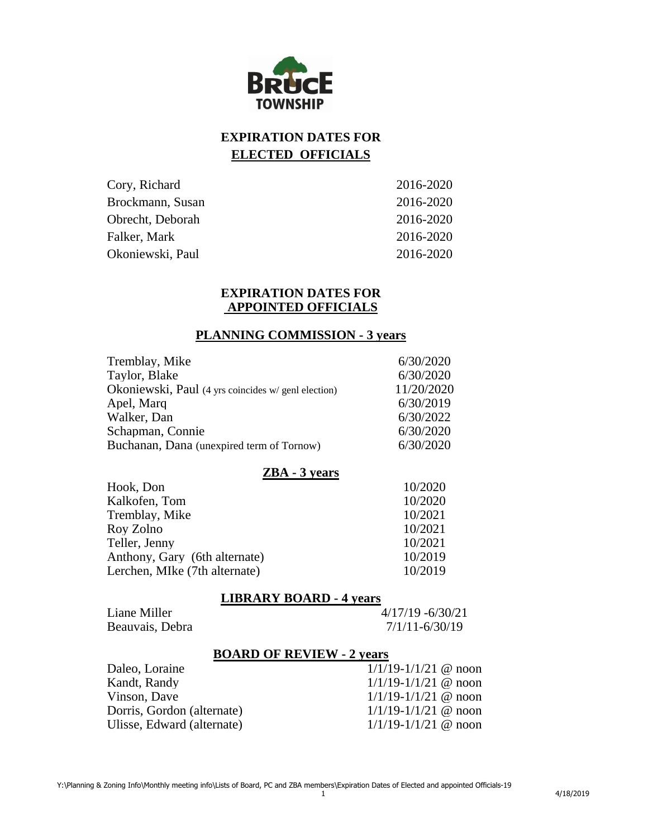

# **EXPIRATION DATES FOR ELECTED OFFICIALS**

| Cory, Richard    | 2016-2020 |
|------------------|-----------|
| Brockmann, Susan | 2016-2020 |
| Obrecht, Deborah | 2016-2020 |
| Falker, Mark     | 2016-2020 |
| Okoniewski, Paul | 2016-2020 |

#### **EXPIRATION DATES FOR APPOINTED OFFICIALS**

#### **PLANNING COMMISSION - 3 years**

| 6/30/2020<br>Tremblay, Mike                                       |  |
|-------------------------------------------------------------------|--|
| Taylor, Blake<br>6/30/2020                                        |  |
| 11/20/2020<br>Okoniewski, Paul (4 yrs coincides w/ genl election) |  |
| 6/30/2019<br>Apel, Marq                                           |  |
| Walker, Dan<br>6/30/2022                                          |  |
| Schapman, Connie<br>6/30/2020                                     |  |
| 6/30/2020<br>Buchanan, Dana (unexpired term of Tornow)            |  |

#### **ZBA - 3 years**

| Hook, Don                     | 10/2020 |
|-------------------------------|---------|
| Kalkofen, Tom                 | 10/2020 |
| Tremblay, Mike                | 10/2021 |
| Roy Zolno                     | 10/2021 |
| Teller, Jenny                 | 10/2021 |
| Anthony, Gary (6th alternate) | 10/2019 |
| Lerchen, MIke (7th alternate) | 10/2019 |
|                               |         |

#### **LIBRARY BOARD - 4 years**

| Liane Miller    |  |
|-----------------|--|
| Beauvais, Debra |  |

 $4/17/19 - 6/30/21$  $7/1/11-6/30/19$ 

# **BOARD OF REVIEW - 2 years**

| $1/1/19 - 1/1/21$ @ noon |
|--------------------------|
| $1/1/19 - 1/1/21$ @ noon |
| $1/1/19 - 1/1/21$ @ noon |
| $1/1/19 - 1/1/21$ @ noon |
| $1/1/19 - 1/1/21$ @ noon |
|                          |